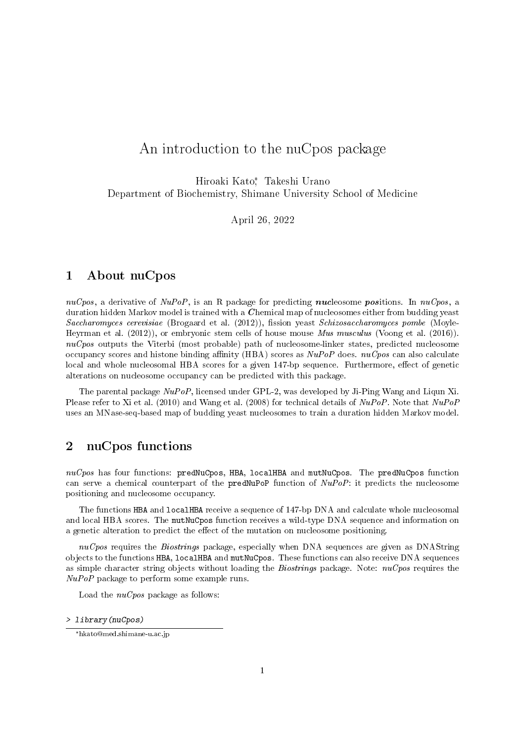# An introduction to the nuCpos package

Hiroaki Kato<sup>\*</sup>, Takeshi Urano Department of Biochemistry, Shimane University School of Medicine

April 26, 2022

#### 1 About nuCpos

nuCpos, a derivative of  $NuPoP$ , is an R package for predicting nucleosome positions. In nuCpos, a duration hidden Markov model is trained with a C hemical map of nucleosomes either from budding yeast  $Saccharomyces$  cerevisiae (Brogaard et al. (2012)), fission yeast  $Schizosaccharomyces$  pombe (Moyle-Heyrman et al. (2012)), or embryonic stem cells of house mouse Mus musculus (Voong et al. (2016)).  $nuCpos$  outputs the Viterbi (most probable) path of nucleosome-linker states, predicted nucleosome occupancy scores and histone binding affinity (HBA) scores as  $NuPoP$  does.  $nuCpos$  can also calculate local and whole nucleosomal HBA scores for a given 147-bp sequence. Furthermore, effect of genetic alterations on nucleosome occupancy can be predicted with this package.

The parental package NuPoP, licensed under GPL-2, was developed by Ji-Ping Wang and Liqun Xi. Please refer to Xi et al. (2010) and Wang et al. (2008) for technical details of NuPoP. Note that NuPoP uses an MNase-seq-based map of budding yeast nucleosomes to train a duration hidden Markov model.

### 2 nuCpos functions

 $nuCpos$  has four functions: predNuCpos, HBA, localHBA and mutNuCpos. The predNuCpos function can serve a chemical counterpart of the predNuPoP function of  $NuPoP$ : it predicts the nucleosome positioning and nucleosome occupancy.

The functions HBA and localHBA receive a sequence of 147-bp DNA and calculate whole nucleosomal and local HBA scores. The mutNuCpos function receives a wild-type DNA sequence and information on a genetic alteration to predict the effect of the mutation on nucleosome positioning.

 $nu\mathit{Cpos}$  requires the *Biostrings* package, especially when DNA sequences are given as DNAString objects to the functions HBA, localHBA and mutNuCpos. These functions can also receive DNA sequences as simple character string objects without loading the *Biostrings* package. Note:  $nuCpos$  requires the  $NuPoP$  package to perform some example runs.

Load the  $nuCpos$  package as follows:

> library(nuCpos)

<sup>\*</sup>hkato@med.shimane-u.ac.jp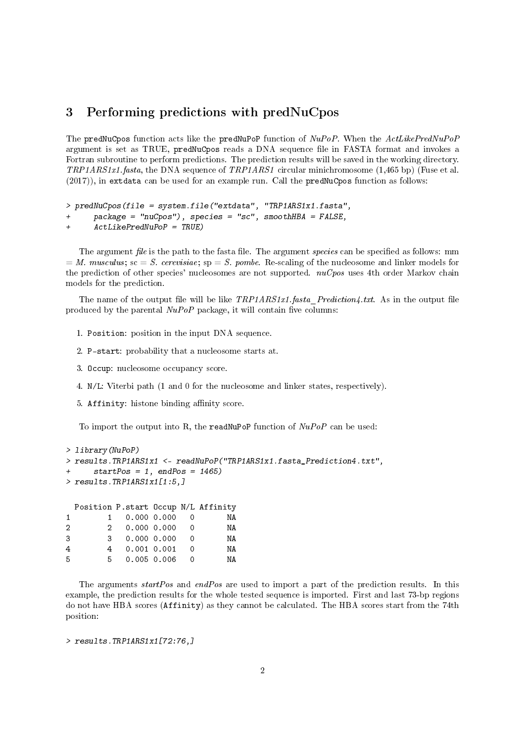## 3 Performing predictions with predNuCpos

The predNuCpos function acts like the predNuPoP function of  $NuPop$ . When the  $ActLikePredNuPop$ argument is set as TRUE, predNuCpos reads a DNA sequence file in FASTA format and invokes a Fortran subroutine to perform predictions. The prediction results will be saved in the working directory.  $TRPIARStx1.fasta$ , the DNA sequence of  $TRPIARS1$  circular minichromosome (1,465 bp) (Fuse et al. (2017)), in extdata can be used for an example run. Call the predNuCpos function as follows:

```
> predNuCpos(file = system.file("extdata", "TRP1ARS1x1.fasta",
```

```
+ package = "nuCpos"), species = "sc", smoothHBA = FALSE,
```

```
+ ActLikePredNuPoP = TRUE)
```
The argument file is the path to the fasta file. The argument species can be specified as follows: mm  $= M.$  musculus; sc  $= S.$  cerevisiae; sp  $= S.$  pombe. Re-scaling of the nucleosome and linker models for the prediction of other species' nucleosomes are not supported.  $nuCpos$  uses 4th order Markov chain models for the prediction.

The name of the output file will be like  $TRP1ARS11.fasta$  Prediction4.txt. As in the output file produced by the parental  $NuPoP$  package, it will contain five columns:

- 1. Position: position in the input DNA sequence.
- 2. P-start: probability that a nucleosome starts at.
- 3. Occup: nucleosome occupancy score.
- 4. N/L: Viterbi path (1 and 0 for the nucleosome and linker states, respectively).
- 5. Affinity: histone binding affinity score.

To import the output into R, the readNuPoP function of  $NuPoP$  can be used:

```
> library(NuPoP)
> results.TRP1ARS1x1 <- readNuPoP("TRP1ARS1x1.fasta_Prediction4.txt",
+ startPos = 1, endPos = 1465)
> results.TRP1ARS1x1[1:5,]
 Position P.start Occup N/L Affinity
1 1 0.000 0.000 0 NA
2 2 0.000 0.000 0 NA
3 3 0.000 0.000 0 NA
4 4 0.001 0.001 0 NA
5 5 0.005 0.006 0 NA
```
The arguments startPos and endPos are used to import a part of the prediction results. In this example, the prediction results for the whole tested sequence is imported. First and last 73-bp regions do not have HBA scores (Affinity) as they cannot be calculated. The HBA scores start from the 74th position:

```
> results.TRP1ARS1x1[72:76,]
```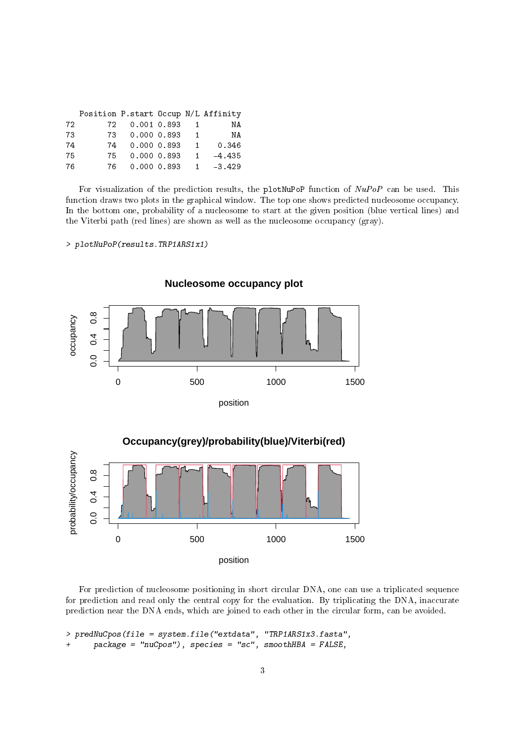|     | Position P.start Occup N/L Affinity |                |                  |          |
|-----|-------------------------------------|----------------|------------------|----------|
| 72. |                                     | 72 0.001 0.893 |                  | ΝA       |
| 73  |                                     | 73 0.000 0.893 | $\blacksquare$ 1 | ΝA       |
| 74  |                                     | 74 0.000 0.893 | $\mathbf{1}$     | 0.346    |
| 75  | 75                                  | 0.000 0.893    | $\blacksquare$ 1 | $-4.435$ |
| 76  | 76                                  | 0.000 0.893    | $\blacksquare$ 1 | $-3.429$ |

For visualization of the prediction results, the plotNuPoP function of  $NuPop$  can be used. This function draws two plots in the graphical window. The top one shows predicted nucleosome occupancy. In the bottom one, probability of a nucleosome to start at the given position (blue vertical lines) and the Viterbi path (red lines) are shown as well as the nucleosome occupancy (gray).

> plotNuPoP(results.TRP1ARS1x1)



**Nucleosome occupancy plot**

For prediction of nucleosome positioning in short circular DNA, one can use a triplicated sequence for prediction and read only the central copy for the evaluation. By triplicating the DNA, inaccurate prediction near the DNA ends, which are joined to each other in the circular form, can be avoided.

```
> predNuCpos(file = system.file("extdata", "TRP1ARS1x3.fasta",
+ package = "nuCpos"), species = "sc", smoothHBA = FALSE,
```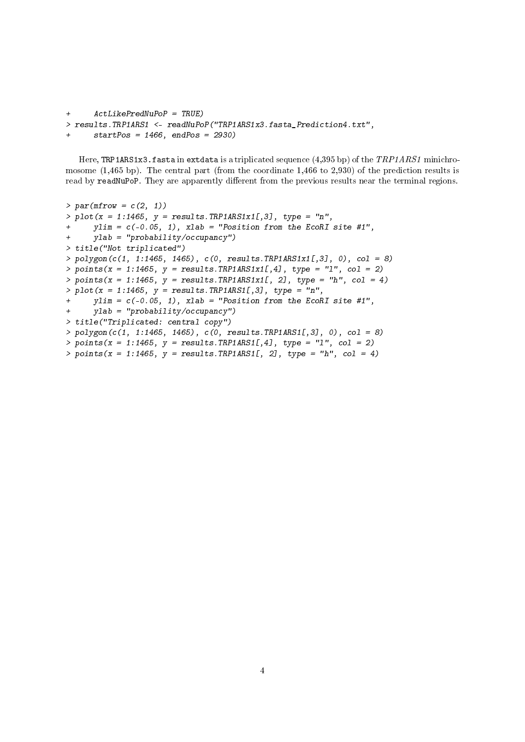```
+ ActLikePredNuPoP = TRUE)
> results.TRP1ARS1 <- readNuPoP("TRP1ARS1x3.fasta_Prediction4.txt",
     startPos = 1466, endPos = 2930)
```
Here, TRP1ARS1x3.fasta in extdata is a triplicated sequence (4,395 bp) of the  $TRPIARSI$  minichromosome (1,465 bp). The central part (from the coordinate 1,466 to 2,930) of the prediction results is read by readNuPoP. They are apparently different from the previous results near the terminal regions.

```
> par(mfrow = c(2, 1))> plot(x = 1:1465, y = results. TRP1ARS1x1[,3], type = "n",vlim = c(-0.05, 1), xlab = "Position from the EcoRI site #1",
+ ylab = "probability/occupancy")
> title("Not triplicated")
> polygon(c(1, 1:1465, 1465), c(0, results.TRP1ARS1x1[,3], 0), col = 8)
> points(x = 1:1465, y = results.TRP1ARS1x1[,4], type = "1", col = 2)
> points(x = 1:1465, y = results.TRP1ARS1x1[, 2], type = "h", col = 4)
> plot(x = 1:1465, y = results. TRPIARS1[, 3], type = "n",+ ylim = c(-0.05, 1), xlab = "Position from the EcoRI site #1",
+ ylab = "probability/occupancy")
> title("Triplicated: central copy")
> polygon(c(1, 1:1465, 1465), c(0, results.TRP1ARS1[,3], 0), col = 8)
> points(x = 1:1465, y = results.TRP1ARS1[,4], type = "1", col = 2)
> points(x = 1:1465, y = results.TRP1ARS1[, 2], type = "h", col = 4)
```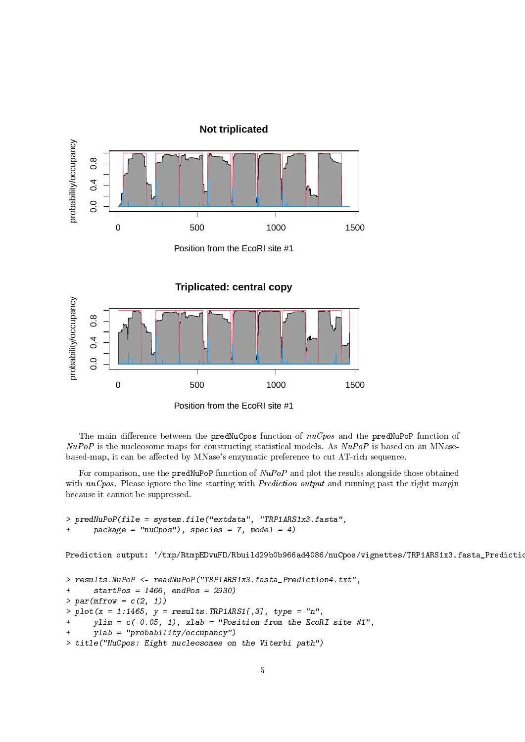

The main difference between the predNuCpos function of  $nuCpos$  and the predNuPoP function of  $NuPoP$  is the nucleosome maps for constructing statistical models. As  $NuPoP$  is based on an MNasebased-map, it can be affected by MNase's enzymatic preference to cut AT-rich sequence.

For comparison, use the predNuPoP function of NuPoP and plot the results alongside those obtained with  $nuCpos$ . Please ignore the line starting with *Prediction output* and running past the right margin because it cannot be suppressed.

```
> predNuPoP(file = system.file("extdata", "TRP1ARS1x3.fasta",
     package = "nuCpos"), species = 7, model = 4)
```
Prediction output: '/tmp/RtmpEDvuFD/Rbuild29b0b966ad4086/nuCpos/vignettes/TRP1ARS1x3.fasta\_Predictio

```
> results.NuPoP <- readNuPoP("TRP1ARS1x3.fasta_Prediction4.txt",
+ startPos = 1466, endPos = 2930)
> par(mfrow = c(2, 1))> plot(x = 1:1465, y = results. TRPIARS1[, 3], type = "n",ylim = c(-0.05, 1), xlab = "Position from the EcoRI site #1",ylab = "probability/occupancy")
> title("NuCpos: Eight nucleosomes on the Viterbi path")
```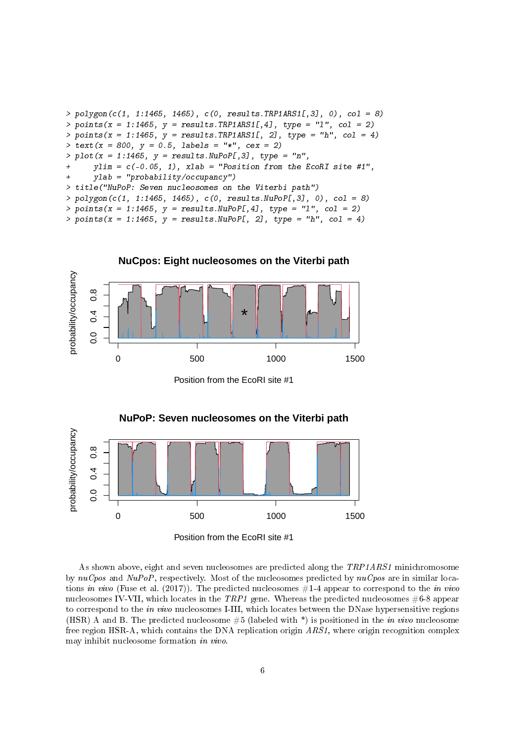```
> polygon(c(1, 1:1465, 1465), c(0, results.TRP1ARS1[,3], 0), col = 8)
> points(x = 1:1465, y = results.FRP1ARS1[, 4], type = "1", col = 2)> points(x = 1:1465, y = results.TRP1ARS1[, 2], type = "h", col = 4)> text(x = 800, y = 0.5, labels = "*", cex = 2)
> plot(x = 1:1465, y = results.NuPoP[, 3], type = "n",ylim = c(-0.05, 1), xlab = "Position from the EcoRI site #1",+ ylab = "probability/occupancy")
> title("NuPoP: Seven nucleosomes on the Viterbi path")
> polygon(c(1, 1:1465, 1465), c(0, results.NuPoP[,3], 0), col = 8)
> points(x = 1:1465, y = results.NuPoP[,4], type = "1", col = 2)
> points(x = 1:1465, y = results. NuPoP[, 2], type = "h", col = 4)
```


Position from the EcoRI site #1



As shown above, eight and seven nucleosomes are predicted along the TRP1ARS1 minichromosome by  $nuCpos$  and  $NuPoP$ , respectively. Most of the nucleosomes predicted by  $nuCpos$  are in similar locations in vivo (Fuse et al. (2017)). The predicted nucleosomes  $#1$ -4 appear to correspond to the in vivo nucleosomes IV-VII, which locates in the  $TRP1$  gene. Whereas the predicted nucleosomes  $#6-8$  appear to correspond to the in vivo nucleosomes I-III, which locates between the DNase hypersensitive regions (HSR) A and B. The predicted nucleosome  $#5$  (labeled with \*) is positioned in the in vivo nucleosome free region HSR-A, which contains the DNA replication origin  $ARSI$ , where origin recognition complex may inhibit nucleosome formation in vivo.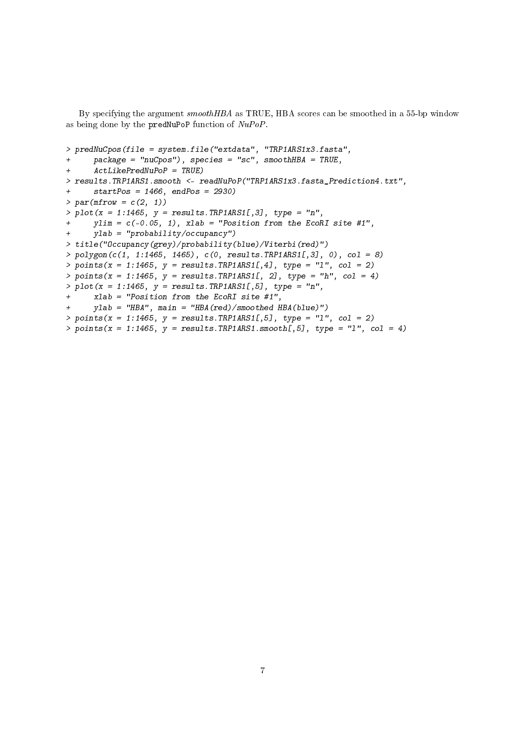By specifying the argument smoothHBA as TRUE, HBA scores can be smoothed in a 55-bp window as being done by the predNuPoP function of  $NuPoP$ .

```
> predNuCpos(file = system.file("extdata", "TRP1ARS1x3.fasta",
+ package = "nuCpos"), species = "sc", smoothHBA = TRUE,
+ ActLikePredNuPoP = TRUE)
> results.TRP1ARS1.smooth <- readNuPoP("TRP1ARS1x3.fasta_Prediction4.txt",
+ startPos = 1466, endPos = 2930)
> par(mfrow = c(2, 1))> plot(x = 1:1465, y = results. TRP1ARS1[, 3], type = "n",+ ylim = c(-0.05, 1), xlab = "Position from the EcoRI site #1",
+ ylab = "probability/occupancy")
> title("Occupancy(grey)/probability(blue)/Viterbi(red)")
> polygon(c(1, 1:1465, 1465), c(0, results.TRP1ARS1[,3], 0), col = 8)
> points(x = 1:1465, y = results.TRP1ARS1[,4], type = "1", col = 2)
> points(x = 1:1465, y = \text{results}.TRP1ARS1[, 2], type = "h", col = 4)
> plot(x = 1:1465, y = results. TRPIARS1[, 5], type = "n",+ xlab = "Position from the EcoRI site #1",
+ ylab = "HBA", main = "HBA(red)/smoothed HBA(blue)")
> points(x = 1:1465, y = results.TRP1ARS1[,5], type = "1", col = 2)
> points(x = 1:1465, y = results.RP1ARS1.smooth[, 5], type = "1", col = 4)
```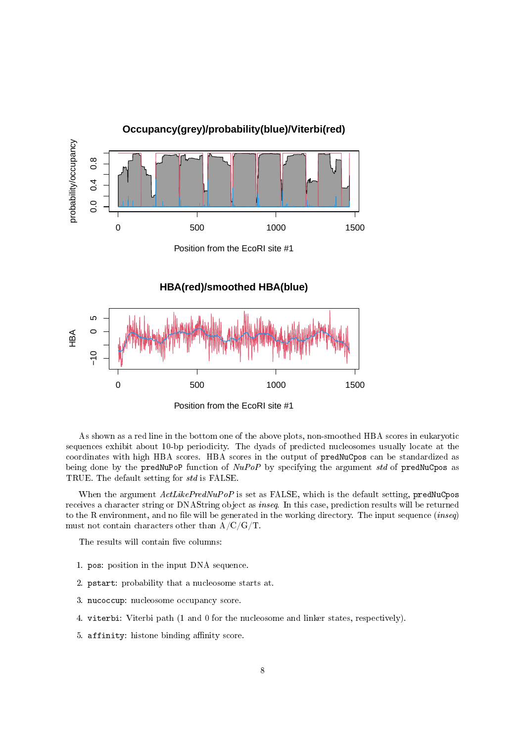

As shown as a red line in the bottom one of the above plots, non-smoothed HBA scores in eukaryotic sequences exhibit about 10-bp periodicity. The dyads of predicted nucleosomes usually locate at the coordinates with high HBA scores. HBA scores in the output of predNuCpos can be standardized as being done by the predNuPoP function of  $NuPoP$  by specifying the argument std of predNuCpos as TRUE. The default setting for std is FALSE.

When the argument  $ActLikePredNuPoP$  is set as FALSE, which is the default setting, predNuCpos receives a character string or DNAString object as inseq. In this case, prediction results will be returned to the R environment, and no file will be generated in the working directory. The input sequence (inseq) must not contain characters other than A/C/G/T.

The results will contain five columns:

- 1. pos: position in the input DNA sequence.
- 2. pstart: probability that a nucleosome starts at.
- 3. nucoccup: nucleosome occupancy score.
- 4. viterbi: Viterbi path (1 and 0 for the nucleosome and linker states, respectively).
- 5. affinity: histone binding affinity score.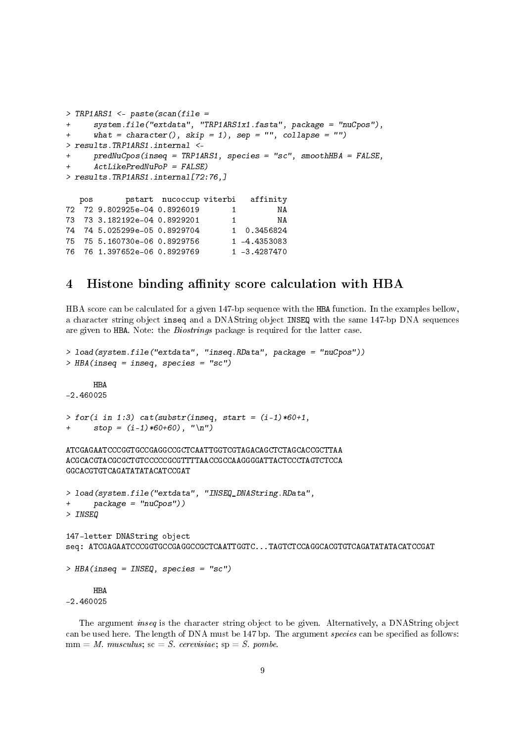```
> TRP1ARS1 \leq paste(scan(file =
+ system.file("extdata", "TRP1ARS1x1.fasta", package = "nuCpos"),
+ what = character(), skip = 1), sep = "", collapse = "")
> results.TRP1ARS1.internal <-
+ predNuCpos(inseq = TRP1ARS1, species = "sc", smoothHBA = FALSE,
+ ActLikePredNuPoP = FALSE)
> results.TRP1ARS1.internal[72:76,]
  pos pstart nucoccup viterbi affinity
72 72 9.802925e-04 0.8926019 1 NA
73 73 3.182192e-04 0.8929201 1 NA
74 74 5.025299e-05 0.8929704 1 0.3456824
75 75 5.160730e-06 0.8929756
76 76 1.397652e-06 0.8929769 1 -3.4287470
```
#### 4 Histone binding affinity score calculation with HBA

HBA score can be calculated for a given 147-bp sequence with the HBA function. In the examples bellow, a character string object inseq and a DNAString object INSEQ with the same 147-bp DNA sequences are given to HBA. Note: the Biostrings package is required for the latter case.

```
> load(system.file("extdata", "inseq.RData", package = "nuCpos"))
> HBA(inseq = inseq, species = "sc")
      HBA
-2.460025
> for(i in 1:3) cat(substr(inseq, start = (i-1)*60+1,
+ stop = (i-1)*60+60, "\n")
ATCGAGAATCCCGGTGCCGAGGCCGCTCAATTGGTCGTAGACAGCTCTAGCACCGCTTAA
ACGCACGTACGCGCTGTCCCCCGCGTTTTAACCGCCAAGGGGATTACTCCCTAGTCTCCA
GGCACGTGTCAGATATATACATCCGAT
> load(system.file("extdata", "INSEQ_DNAString.RData",
+ package = "nuCpos"))
> INSEQ
147-letter DNAString object
seq: ATCGAGAATCCCGGTGCCGAGGCCGCTCAATTGGTC...TAGTCTCCAGGCACGTGTCAGATATATACATCCGAT
> HBA(inseq = INSEQ, species = "sc")
      HBA
-2.460025
```
The argument inseq is the character string object to be given. Alternatively, a DNAString object can be used here. The length of DNA must be 147 bp. The argument species can be specified as follows:  $mm = M.$  musculus;  $sc = S.$  cerevisiae;  $sp = S.$  pombe.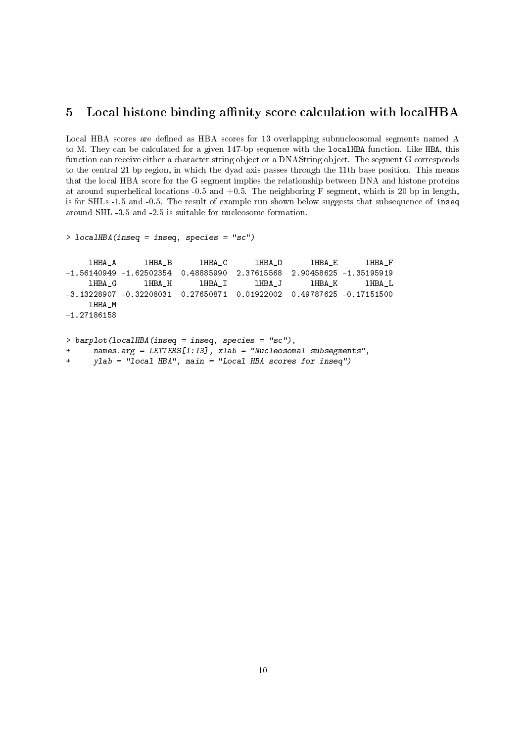## 5 Local histone binding affinity score calculation with localHBA

Local HBA scores are defined as HBA scores for 13 overlapping subnucleosomal segments named A to M. They can be calculated for a given 147-bp sequence with the localHBA function. Like HBA, this function can receive either a character string object or a DNAString object. The segment G corresponds to the central 21 bp region, in which the dyad axis passes through the 11th base position. This means that the local HBA score for the G segment implies the relationship between DNA and histone proteins at around superhelical locations -0.5 and  $+0.5$ . The neighboring F segment, which is 20 bp in length, is for SHLs -1.5 and -0.5. The result of example run shown below suggests that subsequence of inseq around SHL -3.5 and -2.5 is suitable for nucleosome formation.

```
> localHBA(inseq = inseq, species = "sc")
    lHBA_A lHBA_B lHBA_C lHBA_D lHBA_E lHBA_F
-1.56140949 -1.62502354 0.48885990 2.37615568 2.90458625 -1.35195919
    lHBA_G lHBA_H lHBA_I lHBA_J lHBA_K lHBA_L
-3.13228907 -0.32208031 0.27650871 0.01922002 0.49787625 -0.17151500
    lHBA_M
-1.27186158
> barplot(localHBA(inseq = inseq, species = "sc"),
```

```
names.\arg = LETTERS[1:13], xlab = "Nucleosomal subsegments",
```
+ ylab = "local HBA", main = "Local HBA scores for inseq")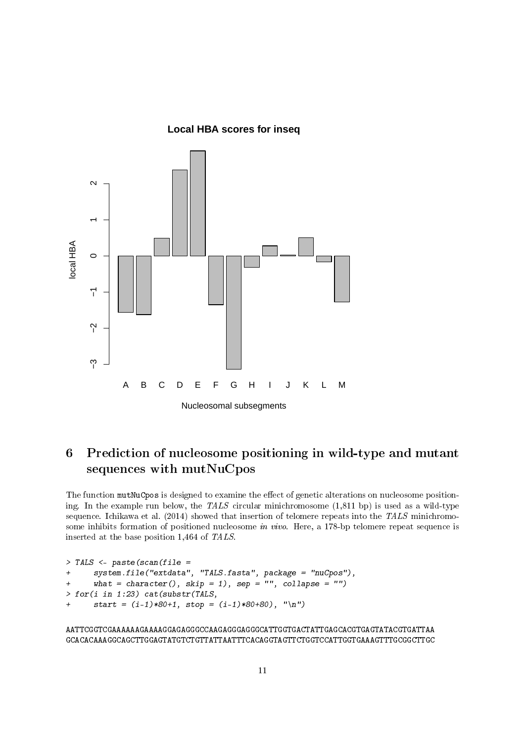**Local HBA scores for inseq**



# 6 Prediction of nucleosome positioning in wild-type and mutant sequences with mutNuCpos

The function mutNuCpos is designed to examine the effect of genetic alterations on nucleosome positioning. In the example run below, the TALS circular minichromosome (1,811 bp) is used as a wild-type sequence. Ichikawa et al.  $(2014)$  showed that insertion of telomere repeats into the TALS minichromosome inhibits formation of positioned nucleosome in vivo. Here, a 178-bp telomere repeat sequence is inserted at the base position 1,464 of TALS.

```
> TALS <- paste(scan(file =
+ system.file("extdata", "TALS.fasta", package = "nuCpos"),
+ what = character(), skip = 1), sep = "", collapse = "")
> for(i in 1:23) cat(substr(TALS,+ start = (i-1)*80+1, stop = (i-1)*80+80, "\n")
```
AATTCGGTCGAAAAAAGAAAAGGAGAGGGCCAAGAGGGAGGGCATTGGTGACTATTGAGCACGTGAGTATACGTGATTAA GCACACAAAGGCAGCTTGGAGTATGTCTGTTATTAATTTCACAGGTAGTTCTGGTCCATTGGTGAAAGTTTGCGGCTTGC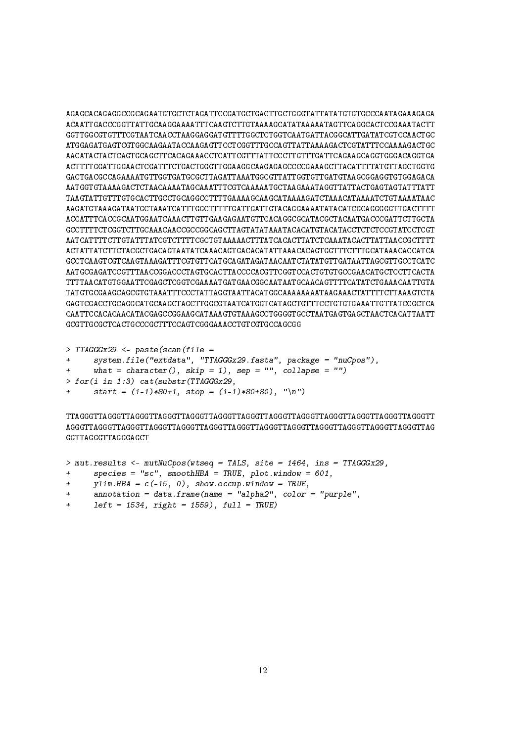AGAGCACAGAGGCCGCAGAATGTGCTCTAGATTCCGATGCTGACTTGCTGGGTATTATATGTGTGCCCAATAGAAAGAGA ACAATTGACCCGGTTATTGCAAGGAAAATTTCAAGTCTTGTAAAAGCATATAAAAATAGTTCAGGCACTCCGAAATACTT GGTTGGCGTGTTTCGTAATCAACCTAAGGAGGATGTTTTGGCTCTGGTCAATGATTACGGCATTGATATCGTCCAACTGC ATGGAGATGAGTCGTGGCAAGAATACCAAGAGTTCCTCGGTTTGCCAGTTATTAAAAGACTCGTATTTCCAAAAGACTGC AACATACTACTCAGTGCAGCTTCACAGAAACCTCATTCGTTTATTCCCTTGTTTGATTCAGAAGCAGGTGGGACAGGTGA ACTTTTGGATTGGAACTCGATTTCTGACTGGGTTGGAAGGCAAGAGAGCCCCGAAAGCTTACATTTTATGTTAGCTGGTG GACTGACGCCAGAAAATGTTGGTGATGCGCTTAGATTAAATGGCGTTATTGGTGTTGATGTAAGCGGAGGTGTGGAGACA AATGGTGTAAAAGACTCTAACAAAATAGCAAATTTCGTCAAAAATGCTAAGAAATAGGTTATTACTGAGTAGTATTTATT TAAGTATTGTTTGTGCACTTGCCTGCAGGCCTTTTGAAAAGCAAGCATAAAAGATCTAAACATAAAATCTGTAAAATAAC AAGATGTAAAGATAATGCTAAATCATTTGGCTTTTTGATTGATTGTACAGGAAAATATACATCGCAGGGGGTTGACTTTT ACCATTTCACCGCAATGGAATCAAACTTGTTGAAGAGAATGTTCACAGGCGCATACGCTACAATGACCCGATTCTTGCTA GCCTTTTCTCGGTCTTGCAAACAACCGCCGGCAGCTTAGTATATAAATACACATGTACATACCTCTCTCCGTATCCTCGT AATCATTTTCTTGTATTTATCGTCTTTTCGCTGTAAAAACTTTATCACACTTATCTCAAATACACTTATTAACCGCTTTT ACTATTATCTTCTACGCTGACAGTAATATCAAACAGTGACACATATTAAACACAGTGGTTTCTTTGCATAAACACCATCA GCCTCAAGTCGTCAAGTAAAGATTTCGTGTTCATGCAGATAGATAACAATCTATATGTTGATAATTAGCGTTGCCTCATC AATGCGAGATCCGTTTAACCGGACCCTAGTGCACTTACCCCACGTTCGGTCCACTGTGTGCCGAACATGCTCCTTCACTA TTTTAACATGTGGAATTCGAGCTCGGTCGAAAATGATGAACGGCAATAATGCAACAGTTTTCATATCTGAAACAATTGTA TATGTGCGAAGCAGCGTGTAAATTTCCCTATTAGGTAATTACATGGCAAAAAAAATAAGAAACTATTTTCTTAAAGTCTA GAGTCGACCTGCAGGCATGCAAGCTAGCTTGGCGTAATCATGGTCATAGCTGTTTCCTGTGTGAAATTGTTATCCGCTCA CAATTCCACACAACATACGAGCCGGAAGCATAAAGTGTAAAGCCTGGGGTGCCTAATGAGTGAGCTAACTCACATTAATT GCGTTGCGCTCACTGCCCGCTTTCCAGTCGGGAAACCTGTCGTGCCAGCGG

```
> TTAGGGx29 <- paste(scan(file =
```

```
+ system.file("extdata", "TTAGGGx29.fasta", package = "nuCpos"),
```

```
what = character(), skip = 1), sep = "", collapse = "")
```

```
> for(i in 1:3) cat(substr(TTAGGGX29,
```

```
start = (i-1)*80+1, stop = (i-1)*80+80), "\n")
```
TTAGGGTTAGGGTTAGGGTTAGGGTTAGGGTTAGGGTTAGGGTTAGGGTTAGGGTTAGGGTTAGGGTTAGGGTTAGGGTT AGGGTTAGGGTTAGGGTTAGGGTTAGGGTTAGGGTTAGGGTTAGGGTTAGGGTTAGGGTTAGGGTTAGGGTTAGGGTTAG GGTTAGGGTTAGGGAGCT

```
> mut.results <- mutNuCpos(wtseq = TALS, site = 1464, ins = TTAGGGx29,
```

```
+ species = "sc", smoothHBA = TRUE, plot.window = 601,
```

```
+ ylim.HBA = c(-15, 0), show.occup.window = TRUE,
```

```
+ annotation = data.frame(name = "alpha2", color = "purple",
```

```
left = 1534, right = 1559), full = TRUE)
```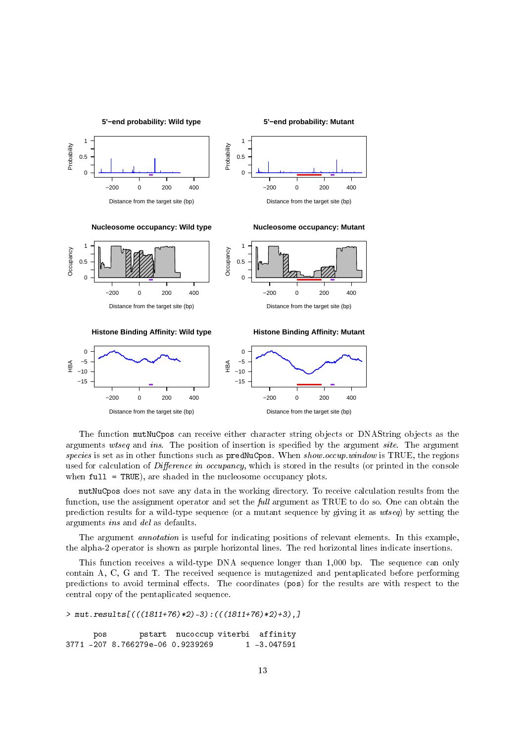



The function mutNuCpos can receive either character string objects or DNAString objects as the arguments wtseq and ins. The position of insertion is specified by the argument site. The argument species is set as in other functions such as predNuCpos. When show.occup.window is TRUE, the regions used for calculation of Difference in occupancy, which is stored in the results (or printed in the console when full = TRUE), are shaded in the nucleosome occupancy plots.

mutNuCpos does not save any data in the working directory. To receive calculation results from the function, use the assignment operator and set the *full* argument as TRUE to do so. One can obtain the prediction results for a wild-type sequence (or a mutant sequence by giving it as wtseq) by setting the arguments ins and del as defaults.

The argument *annotation* is useful for indicating positions of relevant elements. In this example, the alpha-2 operator is shown as purple horizontal lines. The red horizontal lines indicate insertions.

This function receives a wild-type DNA sequence longer than 1,000 bp. The sequence can only contain A, C, G and T. The received sequence is mutagenized and pentaplicated before performing predictions to avoid terminal effects. The coordinates (pos) for the results are with respect to the central copy of the pentaplicated sequence.

```
> mut.results[(((1811+76)*2)-3):(((1811+76)*2)+3),]
     pos pstart nucoccup viterbi affinity
3771 -207 8.766279e-06 0.9239269 1 -3.047591
```